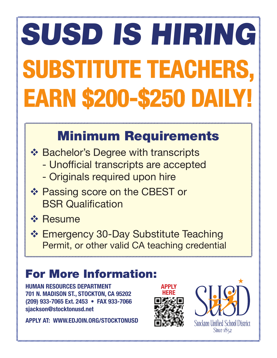# SUSD IS HIRING SUBSTITUTE TEACHERS, EARN \$200-\$250 DAILY!

## Minimum Requirements

**❖ Bachelor's Degree with transcripts** 

- Unofficial transcripts are accepted
- Originals required upon hire
- ❖ Passing score on the CBEST or **BSR Qualification**
- **☆ Resume**
- **❖ Emergency 30-Day Substitute Teaching** Permit, or other valid CA teaching credential

### For More Information:

HUMAN RESOURCES DEPARTMENT 701 N. MADISON ST., STOCKTON, CA 95202 (209) 933-7065 Ext. 2453 • FAX 933-7066 sjackson@stocktonusd.net

APPLY AT: WWW.EDJOIN.ORG/STOCKTONUSD